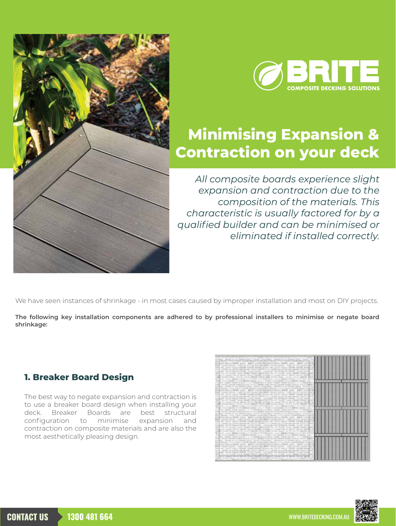



# **Minimising Expansion & Contraction on your deck**

*All composite boards experience slight expansion and contraction due to the composition of the materials. This characteristic is usually factored for by a qualified builder and can be minimised or eliminated if installed correctly.*

We have seen instances of shrinkage - in most cases caused by improper installation and most on DIY projects.

**The following key installation components are adhered to by professional installers to minimise or negate board shrinkage:**

#### **1. Breaker Board Design**

The best way to negate expansion and contraction is to use a breaker board design when installing your deck. Breaker Boards are best structural configuration to minimise expansion and contraction on composite materials and are also the most aesthetically pleasing design.